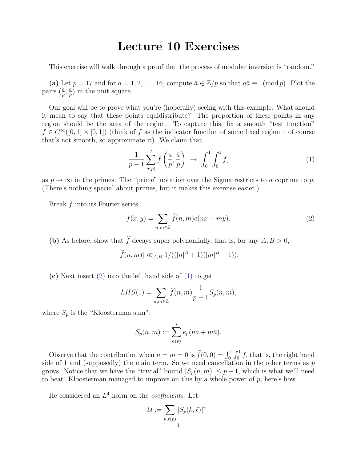## Lecture 10 Exercises

This exercise will walk through a proof that the process of modular inversion is "random."

(a) Let  $p = 17$  and for  $a = 1, 2, ..., 16$ , compute  $\bar{a} \in \mathbb{Z}/p$  so that  $a\bar{a} \equiv 1 \pmod{p}$ . Plot the pairs  $(\frac{a}{p}, \frac{\bar{a}}{p}$  $\frac{\bar{a}}{p}$ ) in the unit square.

Our goal will be to prove what you're (hopefully) seeing with this example. What should it mean to say that these points equidistribute? The proportion of these points in any region should be the area of the region. To capture this, fix a smooth "test function"  $f \in C^{\infty}([0,1] \times [0,1])$  (think of f as the indicator function of some fixed region – of course that's not smooth, so approximate it). We claim that

<span id="page-0-1"></span>
$$
\frac{1}{p-1} \sum_{a(p)}' f\left(\frac{a}{p}, \frac{\bar{a}}{p}\right) \rightarrow \int_0^1 \int_0^1 f,
$$
\n(1)

as  $p \to \infty$  in the primes. The "prime" notation over the Sigma restricts to a coprime to p. (There's nothing special about primes, but it makes this exercise easier.)

Break f into its Fourier series,

<span id="page-0-0"></span>
$$
f(x,y) = \sum_{n,m \in \mathbb{Z}} \hat{f}(n,m)e(nx+my).
$$
 (2)

(b) As before, show that  $\hat{f}$  decays super polynomially, that is, for any  $A, B > 0$ ,

$$
|\widehat{f}(n,m)| \ll_{A,B} 1/((|n|^A+1)(|m|^B+1)).
$$

(c) Next insert  $(2)$  into the left hand side of  $(1)$  to get

$$
LHS(1) = \sum_{n,m \in \mathbb{Z}} \widehat{f}(n,m) \frac{1}{p-1} S_p(n,m),
$$

where  $S_p$  is the "Kloosterman sum":

$$
S_p(n,m) := \sum_{a(p)}' e_p(na + m\bar{a}).
$$

Observe that the contribution when  $n = m = 0$  is  $\widehat{f}(0, 0) = \int_0^1 \int_0^1 f$ , that is, the right hand side of 1 and (supposedly) the main term. So we need cancellation in the other terms as  $p$ grows. Notice that we have the "trivial" bound  $|S_p(n,m)| \leq p-1$ , which is what we'll need to beat. Kloosterman managed to improve on this by a whole power of  $p$ ; here's how.

He considered an  $L^4$  norm on the *coefficients*: Let

$$
\mathcal{U}:=\sum_{k,\ell(p)}|S_p(k,\ell)|^4\,.
$$